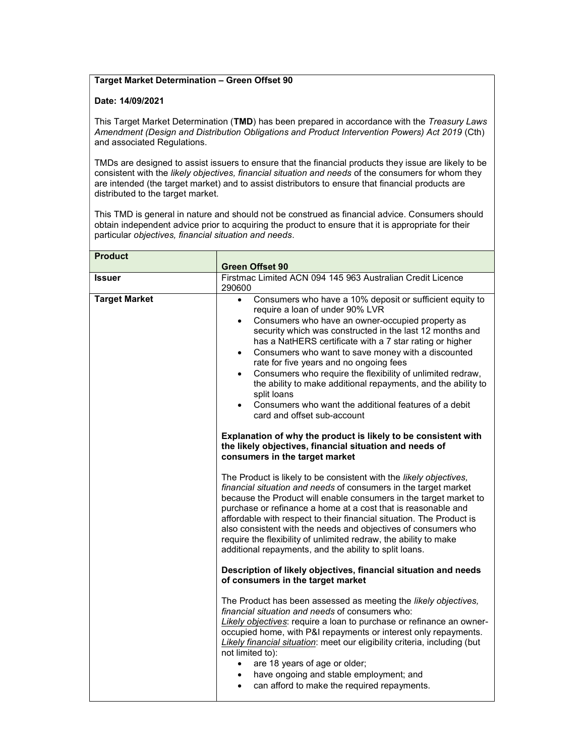## Target Market Determination – Green Offset 90

## Date: 14/09/2021

This Target Market Determination (TMD) has been prepared in accordance with the Treasury Laws Amendment (Design and Distribution Obligations and Product Intervention Powers) Act 2019 (Cth) and associated Regulations.

TMDs are designed to assist issuers to ensure that the financial products they issue are likely to be consistent with the likely objectives, financial situation and needs of the consumers for whom they are intended (the target market) and to assist distributors to ensure that financial products are distributed to the target market.

This TMD is general in nature and should not be construed as financial advice. Consumers should obtain independent advice prior to acquiring the product to ensure that it is appropriate for their particular objectives, financial situation and needs.

| <b>Product</b>       |                                                                                                                                                                                                                                                                                                                                                                                                                                                                                                                                                                                                                                                                                                                                                                                                                                                                                                                                                                                                                                                                                                                                                                                                                                                                                                                                                                                                                                                                                                                                                                                                                                                                                                                                                                                                                                                                                                                                                                                                                                      |
|----------------------|--------------------------------------------------------------------------------------------------------------------------------------------------------------------------------------------------------------------------------------------------------------------------------------------------------------------------------------------------------------------------------------------------------------------------------------------------------------------------------------------------------------------------------------------------------------------------------------------------------------------------------------------------------------------------------------------------------------------------------------------------------------------------------------------------------------------------------------------------------------------------------------------------------------------------------------------------------------------------------------------------------------------------------------------------------------------------------------------------------------------------------------------------------------------------------------------------------------------------------------------------------------------------------------------------------------------------------------------------------------------------------------------------------------------------------------------------------------------------------------------------------------------------------------------------------------------------------------------------------------------------------------------------------------------------------------------------------------------------------------------------------------------------------------------------------------------------------------------------------------------------------------------------------------------------------------------------------------------------------------------------------------------------------------|
|                      | <b>Green Offset 90</b><br>Firstmac Limited ACN 094 145 963 Australian Credit Licence                                                                                                                                                                                                                                                                                                                                                                                                                                                                                                                                                                                                                                                                                                                                                                                                                                                                                                                                                                                                                                                                                                                                                                                                                                                                                                                                                                                                                                                                                                                                                                                                                                                                                                                                                                                                                                                                                                                                                 |
| <b>Issuer</b>        | 290600                                                                                                                                                                                                                                                                                                                                                                                                                                                                                                                                                                                                                                                                                                                                                                                                                                                                                                                                                                                                                                                                                                                                                                                                                                                                                                                                                                                                                                                                                                                                                                                                                                                                                                                                                                                                                                                                                                                                                                                                                               |
| <b>Target Market</b> | Consumers who have a 10% deposit or sufficient equity to<br>$\bullet$<br>require a loan of under 90% LVR<br>Consumers who have an owner-occupied property as<br>$\bullet$<br>security which was constructed in the last 12 months and<br>has a NatHERS certificate with a 7 star rating or higher<br>Consumers who want to save money with a discounted<br>$\bullet$<br>rate for five years and no ongoing fees<br>Consumers who require the flexibility of unlimited redraw,<br>$\bullet$<br>the ability to make additional repayments, and the ability to<br>split loans<br>Consumers who want the additional features of a debit<br>card and offset sub-account<br>Explanation of why the product is likely to be consistent with<br>the likely objectives, financial situation and needs of<br>consumers in the target market<br>The Product is likely to be consistent with the likely objectives,<br>financial situation and needs of consumers in the target market<br>because the Product will enable consumers in the target market to<br>purchase or refinance a home at a cost that is reasonable and<br>affordable with respect to their financial situation. The Product is<br>also consistent with the needs and objectives of consumers who<br>require the flexibility of unlimited redraw, the ability to make<br>additional repayments, and the ability to split loans.<br>Description of likely objectives, financial situation and needs<br>of consumers in the target market<br>The Product has been assessed as meeting the likely objectives,<br>financial situation and needs of consumers who:<br>Likely objectives: require a loan to purchase or refinance an owner-<br>occupied home, with P&I repayments or interest only repayments.<br>Likely financial situation: meet our eligibility criteria, including (but<br>not limited to):<br>are 18 years of age or older;<br>$\bullet$<br>have ongoing and stable employment; and<br>$\bullet$<br>can afford to make the required repayments.<br>$\bullet$ |